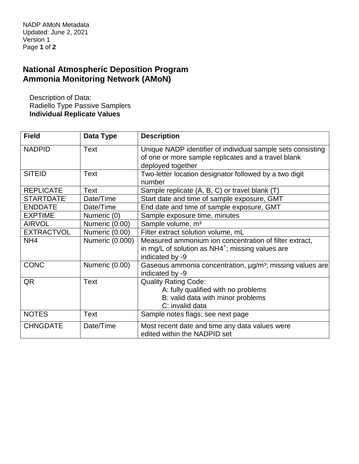## **National Atmospheric Deposition Program Ammonia Monitoring Network (AMoN)**

Description of Data: Radiello Type Passive Samplers **Individual Replicate Values**

| <b>Field</b>      | Data Type       | <b>Description</b>                                                    |  |
|-------------------|-----------------|-----------------------------------------------------------------------|--|
| <b>NADPID</b>     | Text            | Unique NADP identifier of individual sample sets consisting           |  |
|                   |                 | of one or more sample replicates and a travel blank                   |  |
|                   |                 | deployed together                                                     |  |
| <b>SITEID</b>     | Text            | Two-letter location designator followed by a two digit                |  |
|                   |                 | number                                                                |  |
| <b>REPLICATE</b>  | Text            | Sample replicate (A, B, C) or travel blank (T)                        |  |
| <b>STARTDATE</b>  | Date/Time       | Start date and time of sample exposure, GMT                           |  |
| <b>ENDDATE</b>    | Date/Time       | End date and time of sample exposure, GMT                             |  |
| <b>EXPTIME</b>    | Numeric (0)     | Sample exposure time, minutes                                         |  |
| <b>AIRVOL</b>     | Numeric (0.00)  | Sample volume, m <sup>3</sup>                                         |  |
| <b>EXTRACTVOL</b> | Numeric (0.00)  | Filter extract solution volume, mL                                    |  |
| NH <sub>4</sub>   | Numeric (0.000) | Measured ammonium ion concentration of filter extract,                |  |
|                   |                 | in mg/L of solution as $NH4^+$ ; missing values are                   |  |
|                   |                 | indicated by -9                                                       |  |
| <b>CONC</b>       | Numeric (0.00)  | Gaseous ammonia concentration, ug/m <sup>3</sup> ; missing values are |  |
|                   |                 | indicated by -9                                                       |  |
| QR                | Text            | <b>Quality Rating Code:</b>                                           |  |
|                   |                 | A: fully qualified with no problems                                   |  |
|                   |                 | B: valid data with minor problems                                     |  |
|                   |                 | C: invalid data                                                       |  |
| <b>NOTES</b>      | Text            | Sample notes flags; see next page                                     |  |
| <b>CHNGDATE</b>   | Date/Time       | Most recent date and time any data values were                        |  |
|                   |                 | edited within the NADPID set                                          |  |